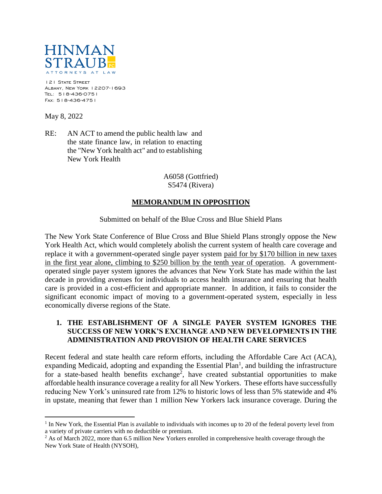

121 STATE STREET Albany, New York 12207-1693 Tel: 518-436-0751 Fax: 518-436-4751

May 8, 2022

 $\overline{a}$ 

RE: AN ACT to amend the public health law and the state finance law, in relation to enacting the "New York health act" and to establishing New York Health

> A6058 (Gottfried) S5474 (Rivera)

## **MEMORANDUM IN OPPOSITION**

#### Submitted on behalf of the Blue Cross and Blue Shield Plans

The New York State Conference of Blue Cross and Blue Shield Plans strongly oppose the New York Health Act, which would completely abolish the current system of health care coverage and replace it with a government-operated single payer system paid for by \$170 billion in new taxes in the first year alone, climbing to \$250 billion by the tenth year of operation. A governmentoperated single payer system ignores the advances that New York State has made within the last decade in providing avenues for individuals to access health insurance and ensuring that health care is provided in a cost-efficient and appropriate manner. In addition, it fails to consider the significant economic impact of moving to a government-operated system, especially in less economically diverse regions of the State.

## **1. THE ESTABLISHMENT OF A SINGLE PAYER SYSTEM IGNORES THE SUCCESS OF NEW YORK'S EXCHANGE AND NEW DEVELOPMENTS IN THE ADMINISTRATION AND PROVISION OF HEALTH CARE SERVICES**

Recent federal and state health care reform efforts, including the Affordable Care Act (ACA), expanding Medicaid, adopting and expanding the Essential  $Plan<sup>1</sup>$ , and building the infrastructure for a state-based health benefits exchange<sup>2</sup>, have created substantial opportunities to make affordable health insurance coverage a reality for all New Yorkers. These efforts have successfully reducing New York's uninsured rate from 12% to historic lows of less than 5% statewide and 4% in upstate, meaning that fewer than 1 million New Yorkers lack insurance coverage. During the

<sup>&</sup>lt;sup>1</sup> In New York, the Essential Plan is available to individuals with incomes up to 20 of the federal poverty level from a variety of private carriers with no deductible or premium.

<sup>&</sup>lt;sup>2</sup> As of March 2022, more than 6.5 million New Yorkers enrolled in comprehensive health coverage through the New York State of Health (NYSOH),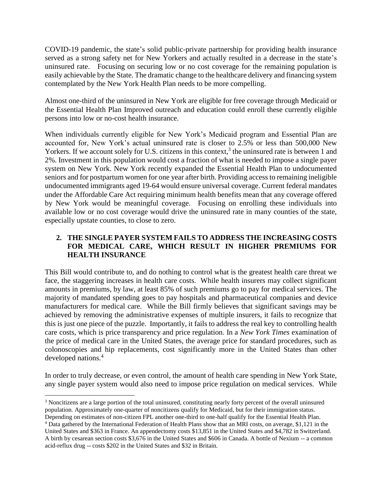COVID-19 pandemic, the state's solid public-private partnership for providing health insurance served as a strong safety net for New Yorkers and actually resulted in a decrease in the state's uninsured rate. Focusing on securing low or no cost coverage for the remaining population is easily achievable by the State. The dramatic change to the healthcare delivery and financing system contemplated by the New York Health Plan needs to be more compelling.

Almost one-third of the uninsured in New York are eligible for free coverage through Medicaid or the Essential Health Plan Improved outreach and education could enroll these currently eligible persons into low or no-cost health insurance.

When individuals currently eligible for New York's Medicaid program and Essential Plan are accounted for, New York's actual uninsured rate is closer to 2.5% or less than 500,000 New Yorkers. If we account solely for U.S. citizens in this context,<sup>3</sup> the uninsured rate is between 1 and 2%. Investment in this population would cost a fraction of what is needed to impose a single payer system on New York. New York recently expanded the Essential Health Plan to undocumented seniors and for postpartum women for one year after birth. Providing access to remaining ineligible undocumented immigrants aged 19-64 would ensure universal coverage. Current federal mandates under the Affordable Care Act requiring minimum health benefits mean that any coverage offered by New York would be meaningful coverage. Focusing on enrolling these individuals into available low or no cost coverage would drive the uninsured rate in many counties of the state, especially upstate counties, to close to zero.

## **2. THE SINGLE PAYER SYSTEM FAILS TO ADDRESS THE INCREASING COSTS FOR MEDICAL CARE, WHICH RESULT IN HIGHER PREMIUMS FOR HEALTH INSURANCE**

This Bill would contribute to, and do nothing to control what is the greatest health care threat we face, the staggering increases in health care costs. While health insurers may collect significant amounts in premiums, by law, at least 85% of such premiums go to pay for medical services. The majority of mandated spending goes to pay hospitals and pharmaceutical companies and device manufacturers for medical care. While the Bill firmly believes that significant savings may be achieved by removing the administrative expenses of multiple insurers, it fails to recognize that this is just one piece of the puzzle. Importantly, it fails to address the real key to controlling health care costs, which is price transparency and price regulation. In a *New York Times* examination of the price of medical care in the United States, the average price for standard procedures, such as colonoscopies and hip replacements, cost significantly more in the United States than other developed nations.<sup>4</sup>

In order to truly decrease, or even control, the amount of health care spending in New York State, any single payer system would also need to impose price regulation on medical services. While

 $\overline{a}$ <sup>3</sup> Noncitizens are a large portion of the total uninsured, constituting nearly forty percent of the overall uninsured population. Approximately one-quarter of noncitizens qualify for Medicaid, but for their immigration status. Depending on estimates of non-citizen FPL another one-third to one-half qualify for the Essential Health Plan.

<sup>4</sup> Data gathered by the International Federation of Health Plans show that an MRI costs, on average, \$1,121 in the

United States and \$363 in France. An appendectomy costs \$13,851 in the United States and \$4,782 in Switzerland. A birth by cesarean section costs \$3,676 in the United States and \$606 in Canada. A bottle of Nexium -- a common acid-reflux drug -- costs \$202 in the United States and \$32 in Britain.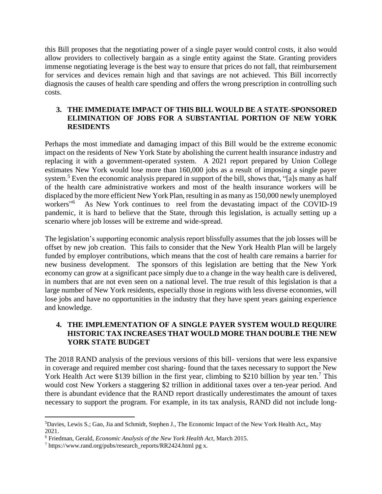this Bill proposes that the negotiating power of a single payer would control costs, it also would allow providers to collectively bargain as a single entity against the State. Granting providers immense negotiating leverage is the best way to ensure that prices do not fall, that reimbursement for services and devices remain high and that savings are not achieved. This Bill incorrectly diagnosis the causes of health care spending and offers the wrong prescription in controlling such costs.

#### **3. THE IMMEDIATE IMPACT OF THIS BILL WOULD BE A STATE-SPONSORED ELIMINATION OF JOBS FOR A SUBSTANTIAL PORTION OF NEW YORK RESIDENTS**

Perhaps the most immediate and damaging impact of this Bill would be the extreme economic impact on the residents of New York State by abolishing the current health insurance industry and replacing it with a government-operated system. A 2021 report prepared by Union College estimates New York would lose more than 160,000 jobs as a result of imposing a single payer system.<sup>5</sup> Even the economic analysis prepared in support of the bill, shows that, "[a]s many as half of the health care administrative workers and most of the health insurance workers will be displaced by the more efficient New York Plan, resulting in as many as 150,000 newly unemployed workers"<sup>6</sup> As New York continues to reel from the devastating impact of the COVID-19 pandemic, it is hard to believe that the State, through this legislation, is actually setting up a scenario where job losses will be extreme and wide-spread.

The legislation's supporting economic analysis report blissfully assumes that the job losses will be offset by new job creation. This fails to consider that the New York Health Plan will be largely funded by employer contributions, which means that the cost of health care remains a barrier for new business development. The sponsors of this legislation are betting that the New York economy can grow at a significant pace simply due to a change in the way health care is delivered, in numbers that are not even seen on a national level. The true result of this legislation is that a large number of New York residents, especially those in regions with less diverse economies, will lose jobs and have no opportunities in the industry that they have spent years gaining experience and knowledge.

# **4. THE IMPLEMENTATION OF A SINGLE PAYER SYSTEM WOULD REQUIRE HISTORIC TAX INCREASES THAT WOULD MORE THAN DOUBLE THE NEW YORK STATE BUDGET**

The 2018 RAND analysis of the previous versions of this bill- versions that were less expansive in coverage and required member cost sharing- found that the taxes necessary to support the New York Health Act were \$139 billion in the first year, climbing to \$210 billion by year ten.<sup>7</sup> This would cost New Yorkers a staggering \$2 trillion in additional taxes over a ten-year period. And there is abundant evidence that the RAND report drastically underestimates the amount of taxes necessary to support the program. For example, in its tax analysis, RAND did not include long-

 $\overline{a}$ 

<sup>5</sup>Davies, Lewis S.; Gao, Jia and Schmidt, Stephen J., The Economic Impact of the New York Health Act,, May 2021.

<sup>6</sup> Friedman, Gerald, *Economic Analysis of the New York Health Act*, March 2015.

<sup>7</sup> https://www.rand.org/pubs/research\_reports/RR2424.html pg x.